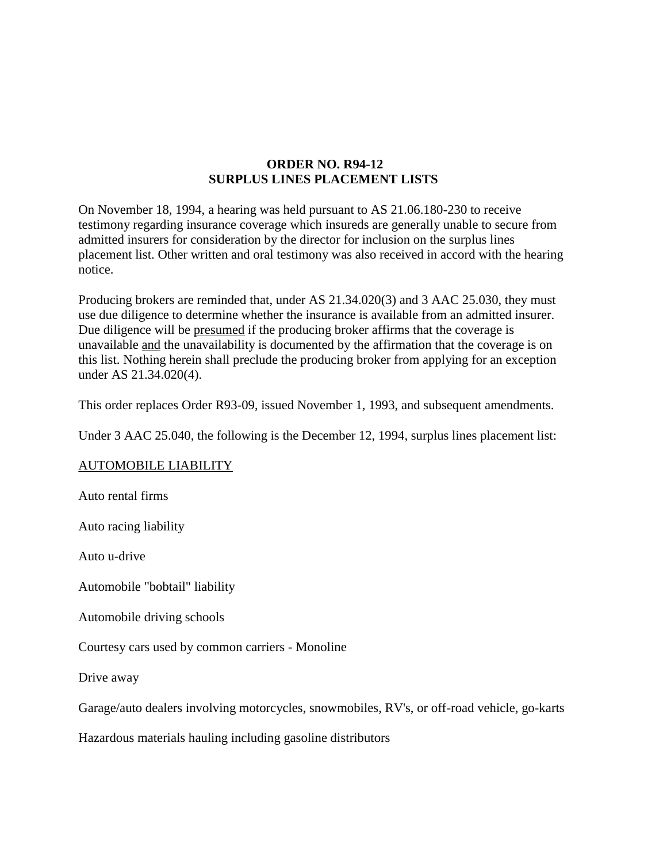## **ORDER NO. R94-12 SURPLUS LINES PLACEMENT LISTS**

On November 18, 1994, a hearing was held pursuant to AS 21.06.180-230 to receive testimony regarding insurance coverage which insureds are generally unable to secure from admitted insurers for consideration by the director for inclusion on the surplus lines placement list. Other written and oral testimony was also received in accord with the hearing notice.

Producing brokers are reminded that, under AS 21.34.020(3) and 3 AAC 25.030, they must use due diligence to determine whether the insurance is available from an admitted insurer. Due diligence will be presumed if the producing broker affirms that the coverage is unavailable and the unavailability is documented by the affirmation that the coverage is on this list. Nothing herein shall preclude the producing broker from applying for an exception under AS 21.34.020(4).

This order replaces Order R93-09, issued November 1, 1993, and subsequent amendments.

Under 3 AAC 25.040, the following is the December 12, 1994, surplus lines placement list:

## AUTOMOBILE LIABILITY

Auto rental firms

Auto racing liability

Auto u-drive

Automobile "bobtail" liability

Automobile driving schools

Courtesy cars used by common carriers - Monoline

Drive away

Garage/auto dealers involving motorcycles, snowmobiles, RV's, or off-road vehicle, go-karts

Hazardous materials hauling including gasoline distributors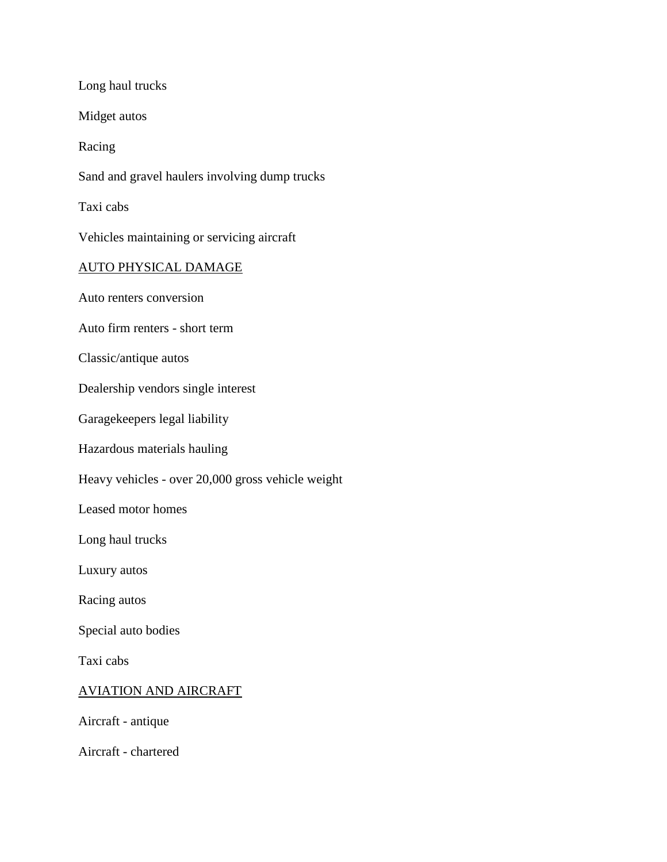Long haul trucks

Midget autos

Racing

Sand and gravel haulers involving dump trucks

Taxi cabs

Vehicles maintaining or servicing aircraft

#### AUTO PHYSICAL DAMAGE

Auto renters conversion

Auto firm renters - short term

Classic/antique autos

Dealership vendors single interest

Garagekeepers legal liability

Hazardous materials hauling

Heavy vehicles - over 20,000 gross vehicle weight

Leased motor homes

Long haul trucks

Luxury autos

Racing autos

Special auto bodies

Taxi cabs

# AVIATION AND AIRCRAFT

Aircraft - antique

Aircraft - chartered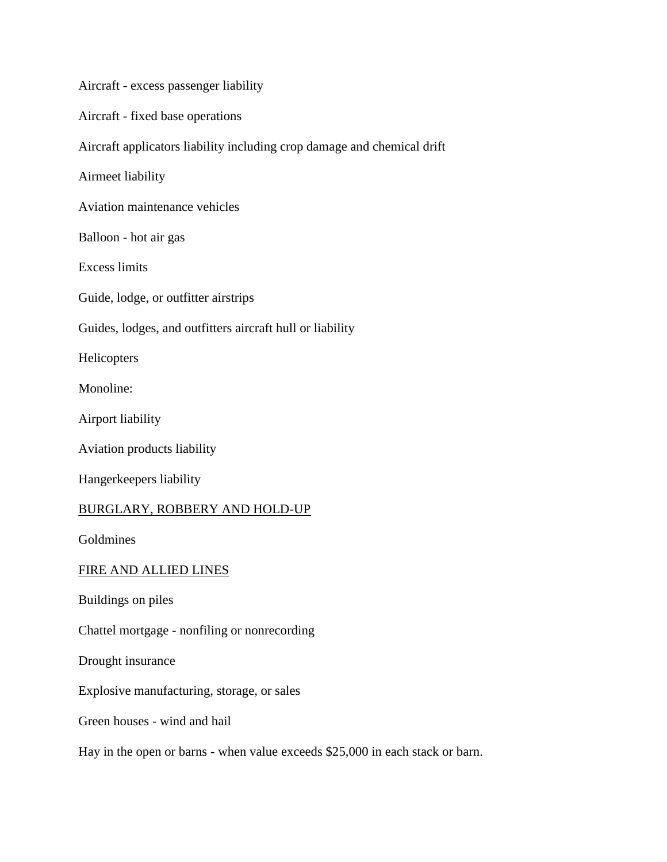Aircraft - excess passenger liability Aircraft - fixed base operations Aircraft applicators liability including crop damage and chemical drift Airmeet liability Aviation maintenance vehicles Balloon - hot air gas Excess limits Guide, lodge, or outfitter airstrips Guides, lodges, and outfitters aircraft hull or liability **Helicopters** Monoline: Airport liability Aviation products liability Hangerkeepers liability BURGLARY, ROBBERY AND HOLD-UP Goldmines FIRE AND ALLIED LINES Buildings on piles Chattel mortgage - nonfiling or nonrecording Drought insurance Explosive manufacturing, storage, or sales Green houses - wind and hail Hay in the open or barns - when value exceeds \$25,000 in each stack or barn.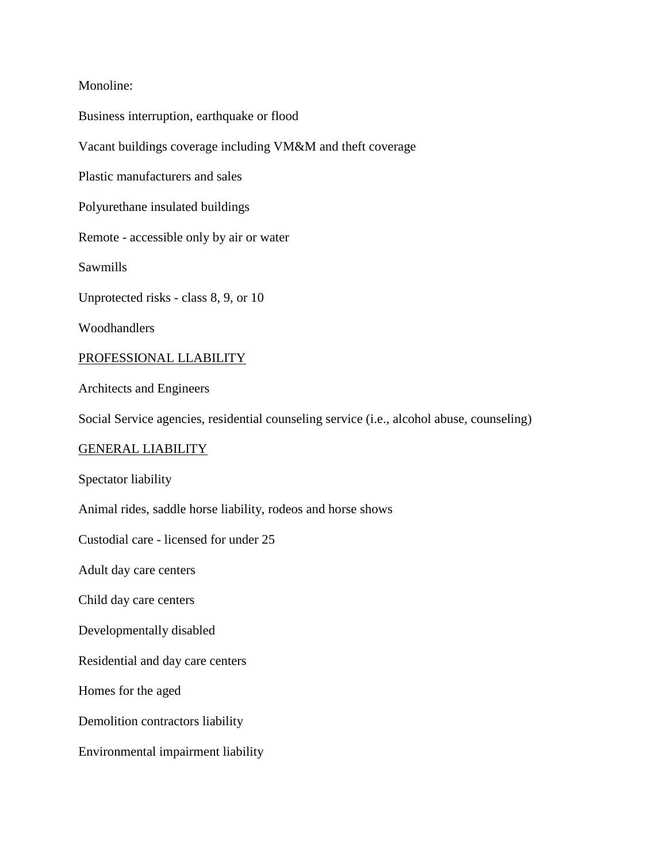## Monoline:

Business interruption, earthquake or flood Vacant buildings coverage including VM&M and theft coverage Plastic manufacturers and sales Polyurethane insulated buildings Remote - accessible only by air or water Sawmills Unprotected risks - class 8, 9, or 10 Woodhandlers PROFESSIONAL LLABILITY Architects and Engineers Social Service agencies, residential counseling service (i.e., alcohol abuse, counseling) GENERAL LIABILITY Spectator liability Animal rides, saddle horse liability, rodeos and horse shows Custodial care - licensed for under 25 Adult day care centers Child day care centers Developmentally disabled Residential and day care centers Homes for the aged Demolition contractors liability Environmental impairment liability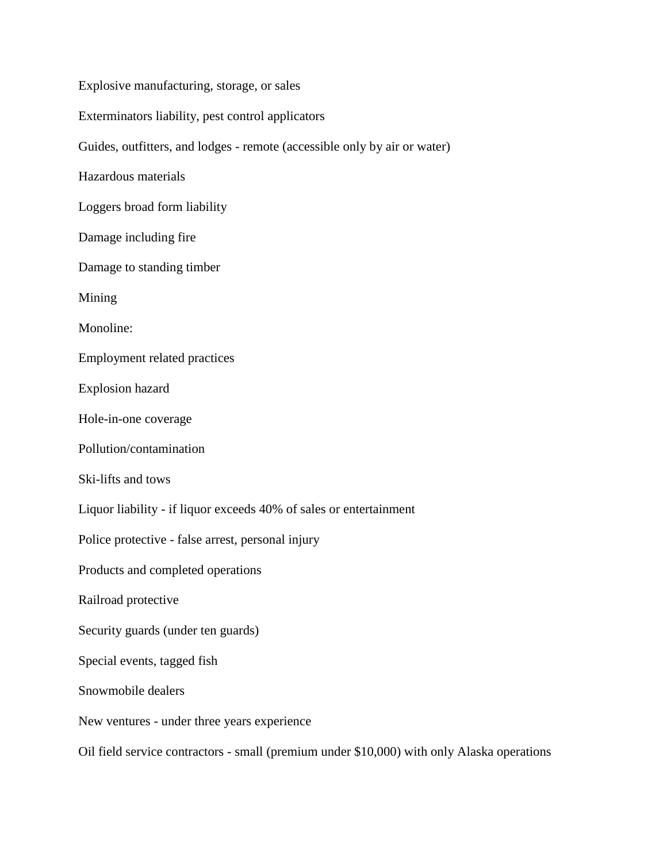Explosive manufacturing, storage, or sales Exterminators liability, pest control applicators Guides, outfitters, and lodges - remote (accessible only by air or water) Hazardous materials Loggers broad form liability Damage including fire Damage to standing timber Mining Monoline: Employment related practices Explosion hazard Hole-in-one coverage Pollution/contamination Ski-lifts and tows Liquor liability - if liquor exceeds 40% of sales or entertainment Police protective - false arrest, personal injury Products and completed operations Railroad protective Security guards (under ten guards) Special events, tagged fish Snowmobile dealers New ventures - under three years experience Oil field service contractors - small (premium under \$10,000) with only Alaska operations